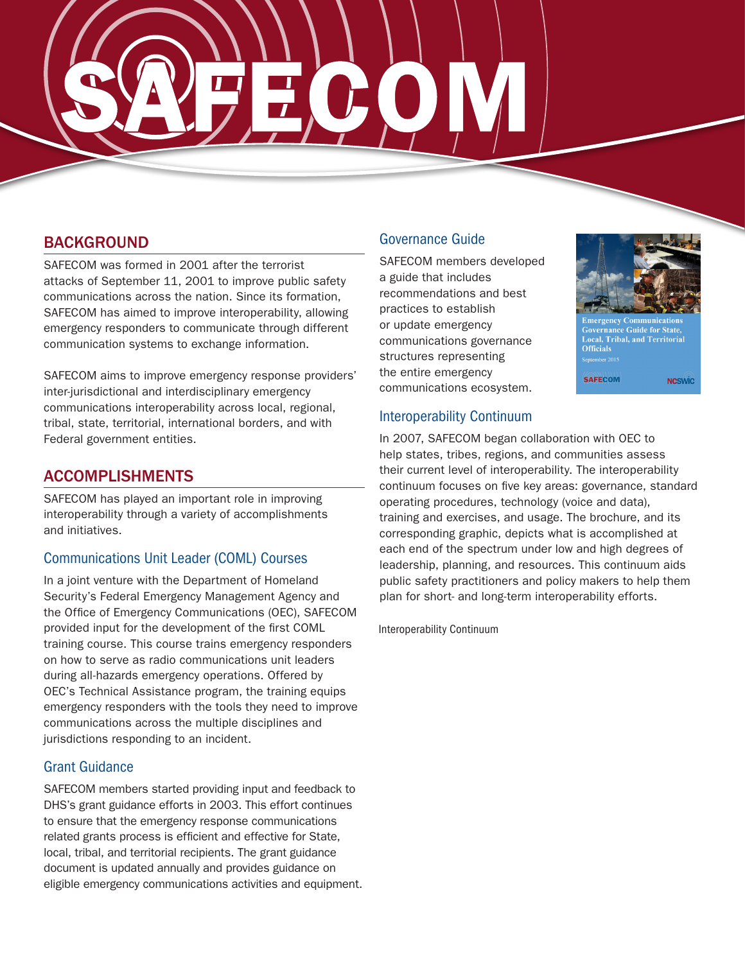

# **BACKGROUND**

SAFECOM was formed in 2001 after the terrorist attacks of September 11, 2001 to improve public safety communications across the nation. Since its formation, SAFECOM has aimed to improve interoperability, allowing emergency responders to communicate through different communication systems to exchange information.

SAFECOM aims to improve emergency response providers' inter-jurisdictional and interdisciplinary emergency communications interoperability across local, regional, tribal, state, territorial, international borders, and with Federal government entities.

## ACCOMPLISHMENTS

SAFECOM has played an important role in improving interoperability through a variety of accomplishments and initiatives.

#### Communications Unit Leader (COML) Courses

In a joint venture with the Department of Homeland Security's Federal Emergency Management Agency and the Office of Emergency Communications (OEC), SAFECOM provided input for the development of the first COML training course. This course trains emergency responders on how to serve as radio communications unit leaders during all-hazards emergency operations. Offered by OEC's Technical Assistance program, the training equips emergency responders with the tools they need to improve communications across the multiple disciplines and jurisdictions responding to an incident.

#### Grant Guidance

SAFECOM members started providing input and feedback to DHS's grant guidance efforts in 2003. This effort continues to ensure that the emergency response communications related grants process is efficient and effective for State, local, tribal, and territorial recipients. The grant guidance document is updated annually and provides guidance on eligible emergency communications activities and equipment.

## Governance Guide

SAFECOM members developed a guide that includes recommendations and best practices to establish or update emergency communications governance structures representing the entire emergency communications ecosystem.



vernance Guide for State, Local, Tribal, and Territorial **Officials** ptember 201:

**SAFECOM NCSWIC** 

#### Interoperability Continuum

In 2007, SAFECOM began collaboration with OEC to help states, tribes, regions, and communities assess their current level of interoperability. The interoperability continuum focuses on five key areas: governance, standard operating procedures, technology (voice and data), training and exercises, and usage. The brochure, and its corresponding graphic, depicts what is accomplished at each end of the spectrum under low and high degrees of leadership, planning, and resources. This continuum aids public safety practitioners and policy makers to help them plan for short- and long-term interoperability efforts.

Interoperability Continuum